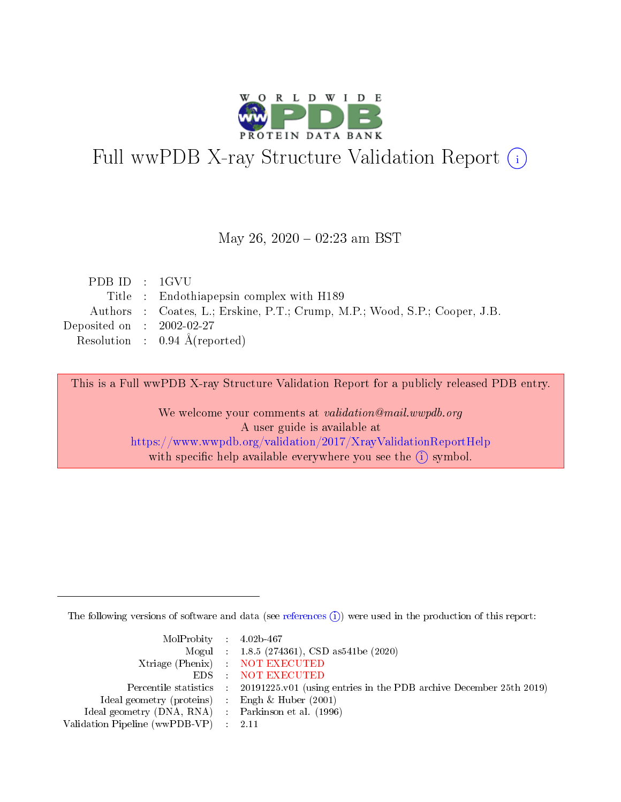

# Full wwPDB X-ray Structure Validation Report (i)

#### May 26,  $2020 - 02:23$  am BST

| PDBID : IGVU                |                                                                            |
|-----------------------------|----------------------------------------------------------------------------|
|                             | Title : Endothiapepsin complex with H189                                   |
|                             | Authors : Coates, L.; Erskine, P.T.; Crump, M.P.; Wood, S.P.; Cooper, J.B. |
| Deposited on : $2002-02-27$ |                                                                            |
|                             | Resolution : $0.94 \text{ Å}$ (reported)                                   |

This is a Full wwPDB X-ray Structure Validation Report for a publicly released PDB entry.

We welcome your comments at validation@mail.wwpdb.org A user guide is available at <https://www.wwpdb.org/validation/2017/XrayValidationReportHelp> with specific help available everywhere you see the  $(i)$  symbol.

The following versions of software and data (see [references](https://www.wwpdb.org/validation/2017/XrayValidationReportHelp#references)  $(i)$ ) were used in the production of this report:

| $MolProbability$ 4.02b-467                          |                                                                                            |
|-----------------------------------------------------|--------------------------------------------------------------------------------------------|
|                                                     | Mogul : $1.8.5$ (274361), CSD as 541be (2020)                                              |
|                                                     | Xtriage (Phenix) NOT EXECUTED                                                              |
|                                                     | EDS NOT EXECUTED                                                                           |
|                                                     | Percentile statistics : 20191225.v01 (using entries in the PDB archive December 25th 2019) |
| Ideal geometry (proteins) :                         | Engh & Huber $(2001)$                                                                      |
| Ideal geometry (DNA, RNA) : Parkinson et al. (1996) |                                                                                            |
| Validation Pipeline (wwPDB-VP) : 2.11               |                                                                                            |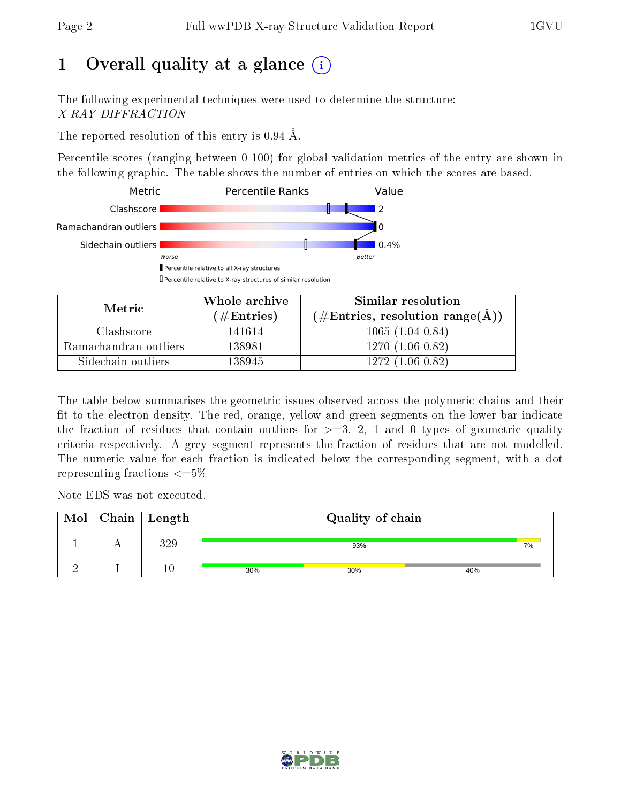# 1 [O](https://www.wwpdb.org/validation/2017/XrayValidationReportHelp#overall_quality)verall quality at a glance  $(i)$

The following experimental techniques were used to determine the structure: X-RAY DIFFRACTION

The reported resolution of this entry is 0.94 Å.

Percentile scores (ranging between 0-100) for global validation metrics of the entry are shown in the following graphic. The table shows the number of entries on which the scores are based.



| Metric                | Whole archive<br>(# $\rm{Entries}$ ) | Similar resolution<br>$(\#\text{Entries}, \text{resolution range}(\text{\AA}) )$ |
|-----------------------|--------------------------------------|----------------------------------------------------------------------------------|
| Clashscore            | 141614                               | $1065(1.04-0.84)$                                                                |
| Ramachandran outliers | 138981                               | $1270(1.06-0.82)$                                                                |
| Sidechain outliers    | 138945                               | $1272(1.06-0.82)$                                                                |

The table below summarises the geometric issues observed across the polymeric chains and their fit to the electron density. The red, orange, yellow and green segments on the lower bar indicate the fraction of residues that contain outliers for  $\geq=3$ , 2, 1 and 0 types of geometric quality criteria respectively. A grey segment represents the fraction of residues that are not modelled. The numeric value for each fraction is indicated below the corresponding segment, with a dot representing fractions  $\leq=5\%$ 

Note EDS was not executed.

| Mol | $\mid$ Chain $\mid$ Length | Quality of chain |     |     |  |
|-----|----------------------------|------------------|-----|-----|--|
|     | 390                        |                  | 93% |     |  |
|     |                            | 30%              | 30% | 40% |  |

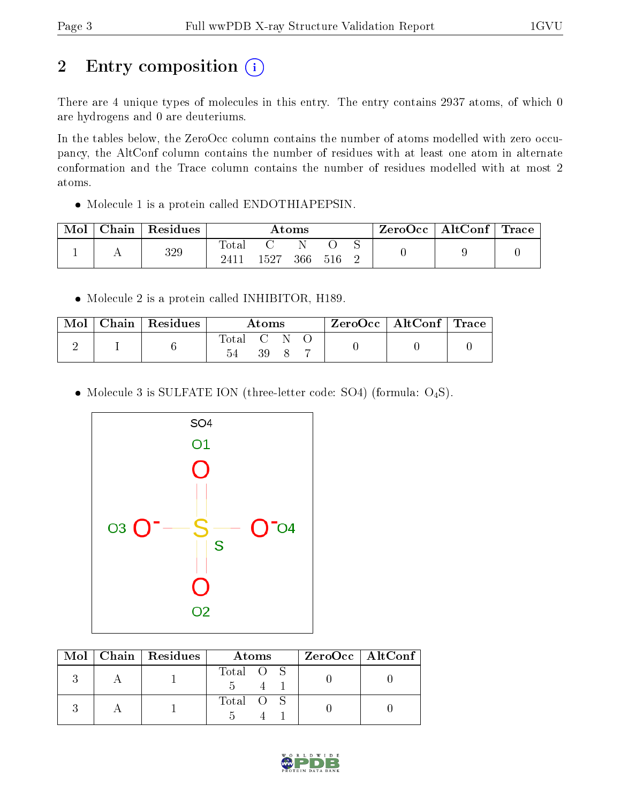# 2 Entry composition (i)

There are 4 unique types of molecules in this entry. The entry contains 2937 atoms, of which 0 are hydrogens and 0 are deuteriums.

In the tables below, the ZeroOcc column contains the number of atoms modelled with zero occupancy, the AltConf column contains the number of residues with at least one atom in alternate conformation and the Trace column contains the number of residues modelled with at most 2 atoms.

Molecule 1 is a protein called ENDOTHIAPEPSIN.

| Mol | Chain   Residues | $\rm{Atoms}$           |      |     | ZeroOcc   AltConf   Trace |  |  |  |
|-----|------------------|------------------------|------|-----|---------------------------|--|--|--|
|     | 329              | $\text{Total}$<br>2411 | 1527 | 366 | -516                      |  |  |  |

• Molecule 2 is a protein called INHIBITOR, H189.

| Mol | Chain   Residues | Atoms     |     |  | $\text{ZeroOcc} \mid \text{AltConf} \mid \text{Trace}$ |  |
|-----|------------------|-----------|-----|--|--------------------------------------------------------|--|
|     |                  | Total C N | 39. |  |                                                        |  |

• Molecule 3 is SULFATE ION (three-letter code: SO4) (formula:  $O_4S$ ).



|  | $Mol$   Chain   Residues | Atoms     | $ZeroOcc \   \$ AltConf |
|--|--------------------------|-----------|-------------------------|
|  |                          | Total O S |                         |
|  |                          | Total O S |                         |

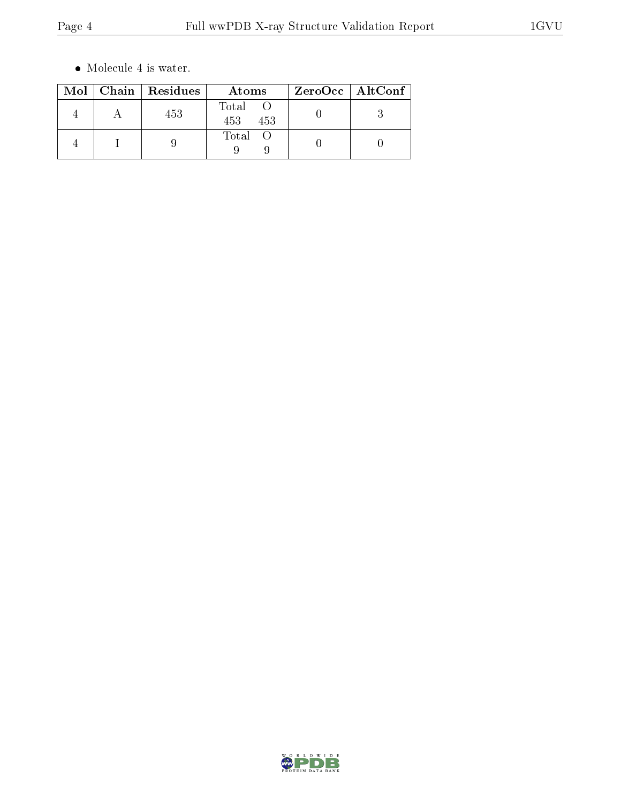$\bullet\,$  Molecule 4 is water.

|  | Mol   Chain   Residues | Atoms               | ZeroOcc   AltConf |
|--|------------------------|---------------------|-------------------|
|  | 453                    | Total<br>453<br>453 |                   |
|  |                        | Total               |                   |

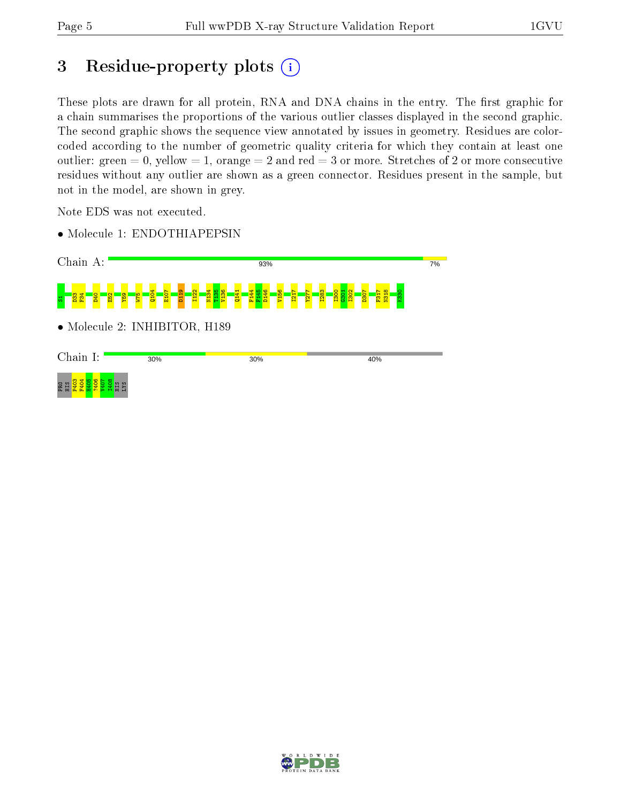# 3 Residue-property plots (i)

These plots are drawn for all protein, RNA and DNA chains in the entry. The first graphic for a chain summarises the proportions of the various outlier classes displayed in the second graphic. The second graphic shows the sequence view annotated by issues in geometry. Residues are colorcoded according to the number of geometric quality criteria for which they contain at least one outlier: green  $= 0$ , yellow  $= 1$ , orange  $= 2$  and red  $= 3$  or more. Stretches of 2 or more consecutive residues without any outlier are shown as a green connector. Residues present in the sample, but not in the model, are shown in grey.

Note EDS was not executed.

• Molecule 1: ENDOTHIAPEPSIN

| Chain A:                                                                                 |                                                                                                                       | 93%                                                                                                                                                                 | 7%                                    |
|------------------------------------------------------------------------------------------|-----------------------------------------------------------------------------------------------------------------------|---------------------------------------------------------------------------------------------------------------------------------------------------------------------|---------------------------------------|
| F34<br><b>SZM</b><br>$\overline{52}$<br><b>PSI</b><br><b>D40</b><br>D <sub>33</sub><br>ь | <b>1134</b><br>1136<br>1136<br>1136<br>$\frac{1}{1122}$<br>0104<br><b>D119</b><br>E <sub>107</sub><br>$\frac{141}{2}$ | F <sub>144</sub><br>D <sub>146</sub><br>V <sub>156</sub><br>I302<br>145<br>I <sub>300</sub><br><b>E82</b><br>$\frac{1}{277}$<br>$\overline{121}$<br>30<br>Dec.<br>ಲ | $\overline{130}$<br>N31<br>K33<br>F31 |
|                                                                                          | • Molecule 2: INHIBITOR, H189                                                                                         |                                                                                                                                                                     |                                       |
| Chain I:                                                                                 | 30%                                                                                                                   | 30%                                                                                                                                                                 | 40%                                   |
| $-40$<br>PRO<br>SXJ<br>Eщ                                                                |                                                                                                                       |                                                                                                                                                                     |                                       |

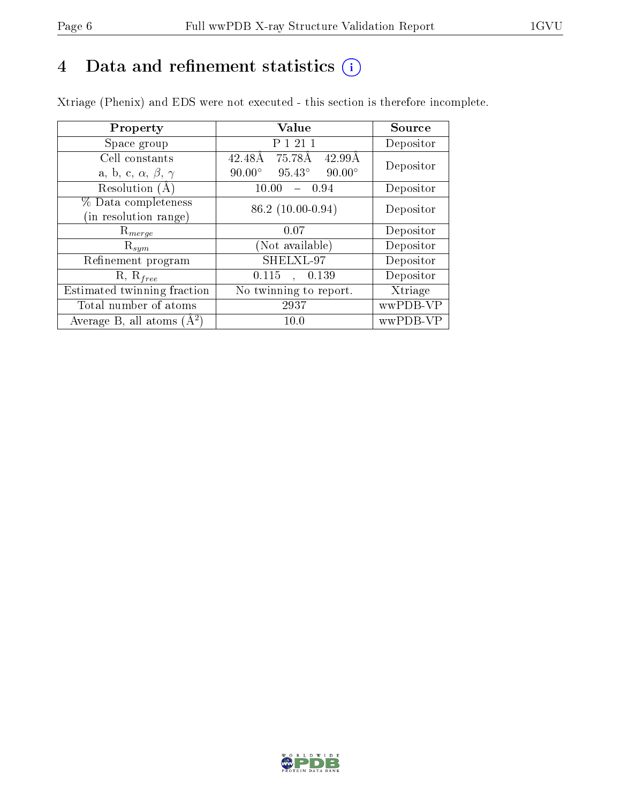# 4 Data and refinement statistics  $(i)$

Xtriage (Phenix) and EDS were not executed - this section is therefore incomplete.

| Property                               | Value                                           | Source    |
|----------------------------------------|-------------------------------------------------|-----------|
| Space group                            | P 1 21 1                                        | Depositor |
| Cell constants                         | 75.78Å<br>42.48Å<br>42.99Å                      | Depositor |
| a, b, c, $\alpha$ , $\beta$ , $\gamma$ | $90.00^\circ$<br>$95.43^\circ$<br>$90.00^\circ$ |           |
| Resolution $(A)$                       | 10.00<br>- 0.94                                 | Depositor |
| % Data completeness                    | $86.2(10.00-0.94)$                              | Depositor |
| (in resolution range)                  |                                                 |           |
| $\mathrm{R}_{merge}$                   | 0.07                                            | Depositor |
| $\mathrm{R}_{sym}$                     | (Not available)                                 | Depositor |
| Refinement program                     | SHELXL-97                                       | Depositor |
| $R, R_{free}$                          | 0.115<br>0.139                                  | Depositor |
| Estimated twinning fraction            | No twinning to report.                          | Xtriage   |
| Total number of atoms                  | 2937                                            | wwPDB-VP  |
| Average B, all atoms $(A^2)$           | 10.0                                            | wwPDB-VP  |

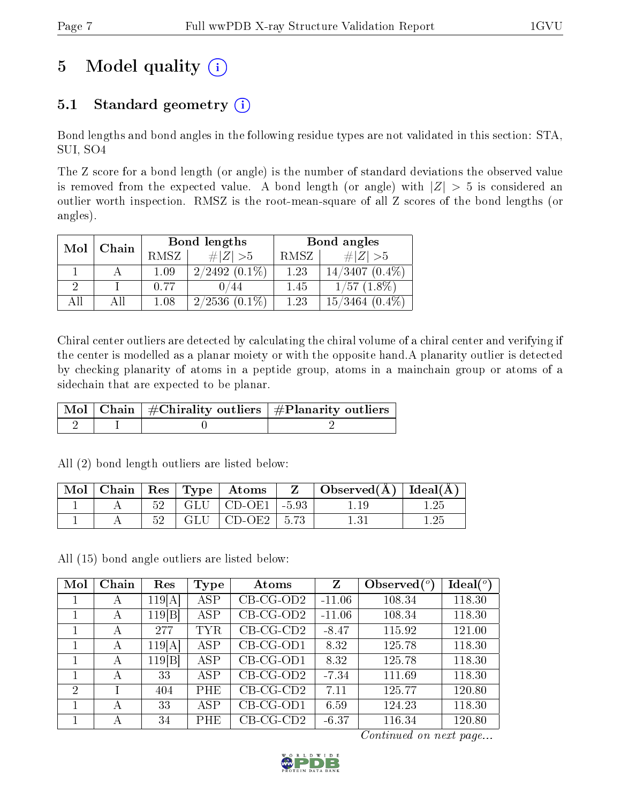# 5 Model quality  $(i)$

## 5.1 Standard geometry  $(i)$

Bond lengths and bond angles in the following residue types are not validated in this section: STA, SUI, SO4

The Z score for a bond length (or angle) is the number of standard deviations the observed value is removed from the expected value. A bond length (or angle) with  $|Z| > 5$  is considered an outlier worth inspection. RMSZ is the root-mean-square of all Z scores of the bond lengths (or angles).

| Mol<br>Chain |  |      | Bond lengths    | Bond angles |                     |  |
|--------------|--|------|-----------------|-------------|---------------------|--|
|              |  | RMSZ | $\# Z  > 5$     | RMSZ        | # $ Z  > 5$         |  |
|              |  | 1.09 | $2/2492(0.1\%)$ | 1.23        | $14/3407(0.4\%)$    |  |
|              |  | 0.77 | 0/44            | 1.45        | $1/57$ $(1.8\%)$    |  |
| AH           |  | 1.08 | $2/2536(0.1\%)$ | 1.23        | $15/3464$ $(0.4\%)$ |  |

Chiral center outliers are detected by calculating the chiral volume of a chiral center and verifying if the center is modelled as a planar moiety or with the opposite hand.A planarity outlier is detected by checking planarity of atoms in a peptide group, atoms in a mainchain group or atoms of a sidechain that are expected to be planar.

|  | $\mid$ Mol $\mid$ Chain $\mid$ #Chirality outliers $\mid$ #Planarity outliers $'$ |
|--|-----------------------------------------------------------------------------------|
|  |                                                                                   |

All (2) bond length outliers are listed below:

| $\text{Mol}$ |       |       | $\vert$ Chain $\vert$ Res $\vert$ Type $\vert$ Atoms | Z | $\Box$ Observed( $\AA$ ) $\Box$ Ideal( $\AA$ ) |  |
|--------------|-------|-------|------------------------------------------------------|---|------------------------------------------------|--|
|              |       |       | $52$   GLU   CD-OE1   -5.93                          |   |                                                |  |
|              | $52-$ | GLU 1 | $\vert$ CD-OE2 $\vert$ 5.73                          |   |                                                |  |

All (15) bond angle outliers are listed below:

| Mol           | Chain | Res    | Type | Atoms        | Z        | Observed $\binom{o}{c}$ | Ideal $(^\circ)$ |
|---------------|-------|--------|------|--------------|----------|-------------------------|------------------|
|               | A     | 119[A] | ASP  | $CB-CG-OD2$  | $-11.06$ | 108.34                  | 118.30           |
|               | A     | 119 B  | ASP  | $CB$ -CG-OD2 | $-11.06$ | 108.34                  | 118.30           |
|               | A     | 277    | TYR  | $CB-CG-CD2$  | $-8.47$  | 115.92                  | 121.00           |
| 1             | А     | 119[A] | ASP  | $CB-CG-OD1$  | 8.32     | 125.78                  | 118.30           |
|               | A     | 119 B  | ASP  | $CB-CG-OD1$  | 8.32     | 125.78                  | 118.30           |
|               | А     | 33     | ASP  | $CB-CG-OD2$  | $-7.34$  | 111.69                  | 118.30           |
| $\mathcal{D}$ |       | 404    | PHE  | $CB-CG-CD2$  | 7.11     | 125.77                  | 120.80           |
|               | А     | 33     | ASP  | $CB-CG-OD1$  | 6.59     | 124.23                  | 118.30           |
|               | А     | 34     | PHE  | $CB-CG-CD2$  | $-6.37$  | 116.34                  | 120.80           |

Continued on next page...

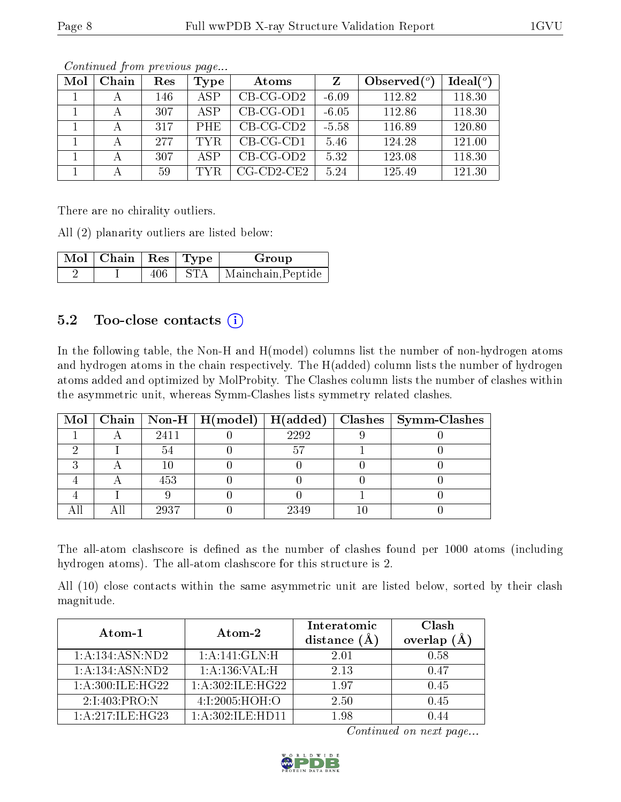| Mol | Chain | Res | Type       | Atoms                |         | Observed $(°)$ | Ideal $(°)$ |
|-----|-------|-----|------------|----------------------|---------|----------------|-------------|
|     |       | 146 | ASP        | $CB-CG-OD2$          | $-6.09$ | 112.82         | 118.30      |
|     |       | 307 | ASP        | $CB-CG-OD1$          | $-6.05$ | 112.86         | 118.30      |
|     |       | 317 | <b>PHE</b> | $CB-CG-CD2$          | $-5.58$ | 116.89         | 120.80      |
|     |       | 277 | TYR.       | $CB-CG-CD1$          | 5.46    | 124.28         | 121.00      |
|     |       | 307 | ASP        | $CB-CG-OD2$          | 5.32    | 123.08         | 118.30      |
|     |       | 59  | TYR.       | $CG$ - $CD2$ - $CE2$ | 5.24    | 125.49         | 121.30      |

Continued from previous page...

There are no chirality outliers.

All (2) planarity outliers are listed below:

| $\mid$ Mol $\mid$ Chain $\mid$ Res $\mid$ Type $^+$ |     |      | Group              |
|-----------------------------------------------------|-----|------|--------------------|
|                                                     | 406 | -STA | Mainchain, Peptide |

## 5.2 Too-close contacts  $(i)$

In the following table, the Non-H and H(model) columns list the number of non-hydrogen atoms and hydrogen atoms in the chain respectively. The H(added) column lists the number of hydrogen atoms added and optimized by MolProbity. The Clashes column lists the number of clashes within the asymmetric unit, whereas Symm-Clashes lists symmetry related clashes.

|  |      |      | Mol   Chain   Non-H   H(model)   H(added)   Clashes   Symm-Clashes |
|--|------|------|--------------------------------------------------------------------|
|  | 2411 | 2292 |                                                                    |
|  |      |      |                                                                    |
|  |      |      |                                                                    |
|  | 453  |      |                                                                    |
|  |      |      |                                                                    |
|  | 2937 | 2349 |                                                                    |

The all-atom clashscore is defined as the number of clashes found per 1000 atoms (including hydrogen atoms). The all-atom clashscore for this structure is 2.

All (10) close contacts within the same asymmetric unit are listed below, sorted by their clash magnitude.

| Atom-1              | Atom-2              | Interatomic<br>distance $(A)$ | Clash<br>overlap<br>(A) |  |
|---------------------|---------------------|-------------------------------|-------------------------|--|
| 1: A:134: ASN:ND2   | 1:A:141:GLN:H       | 2.01                          | 0.58                    |  |
| 1:A:134:ASN:ND2     | 1: A: 136: VAL:H    | 2.13                          | 0.47                    |  |
| 1: A:300: ILE: HG22 | 1: A:302: ILE: HG22 | 197                           | 0.45                    |  |
| 2:1:403:PRO:N       | 4:I:2005:HOH:O      | 2.50                          | 0.45                    |  |
| 1: A:217: ILE: HG23 | 1: A:302: ILE: HDI1 | 1.98                          |                         |  |

Continued on next page...

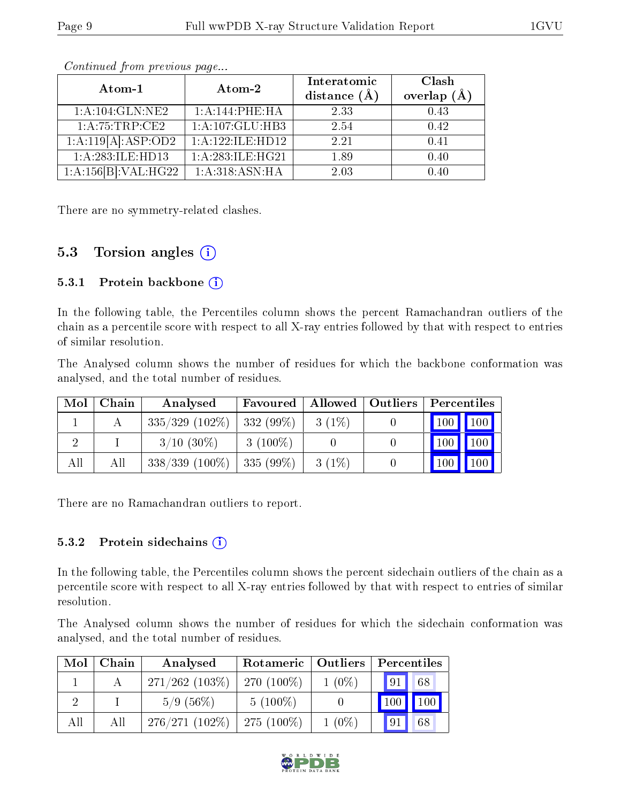| Atom-1               | Atom-2           | Interatomic<br>distance $(A)$ | Clash<br>overlap $(A)$ |
|----------------------|------------------|-------------------------------|------------------------|
| 1:A:104:GLN:NE2      | 1:A:144:PHE:HA   | 2.33                          | 0.43                   |
| 1: A:75:TRP:CE2      | 1:A:107:GLU:HB3  | 2.54                          | 0.42                   |
| 1:A:119[A]:ASP:OD2   | 1:A:122:ILE:HD12 | 2.21                          | 0.41                   |
| 1:A:283:ILE:HD13     | 1:A:283:ILE:HG21 | 1.89                          | 0.40                   |
| 1:A:156[B]:VAL:H G22 | 1: A:318: ASN:HA | 2.03                          | 0.40                   |

Continued from previous page...

There are no symmetry-related clashes.

## 5.3 Torsion angles  $(i)$

#### 5.3.1 Protein backbone  $(i)$

In the following table, the Percentiles column shows the percent Ramachandran outliers of the chain as a percentile score with respect to all X-ray entries followed by that with respect to entries of similar resolution.

The Analysed column shows the number of residues for which the backbone conformation was analysed, and the total number of residues.

| Mol | Chain | Analysed          | Favoured    | Allowed  | <b>Outliers</b> | Percentiles                     |             |
|-----|-------|-------------------|-------------|----------|-----------------|---------------------------------|-------------|
|     |       | $335/329$ (102\%) | $332(99\%)$ | $3(1\%)$ |                 | $\vert$ 100 $\vert$ 100 $\vert$ |             |
|     |       | $3/10(30\%)$      | $3(100\%)$  |          |                 |                                 | 100   100   |
| All | All   | $338/339$ (100\%) | $335(99\%)$ | $3(1\%)$ |                 | $\vert$ 100 $\vert$             | $\vert$ 100 |

There are no Ramachandran outliers to report.

#### 5.3.2 Protein sidechains  $(i)$

In the following table, the Percentiles column shows the percent sidechain outliers of the chain as a percentile score with respect to all X-ray entries followed by that with respect to entries of similar resolution.

The Analysed column shows the number of residues for which the sidechain conformation was analysed, and the total number of residues.

| Mol | Chain | Analysed          | Rotameric   Outliers |          | Percentiles  |              |  |
|-----|-------|-------------------|----------------------|----------|--------------|--------------|--|
|     |       | $271/262$ (103\%) | $270(100\%)$         | $1(0\%)$ | 91           | 68           |  |
|     |       | 5/9(56%)          | $5(100\%)$           |          | $\sqrt{100}$ | $\sqrt{100}$ |  |
| All | All   | $276/271(102\%)$  | $275(100\%)$         | $1(0\%)$ | 91           | 68           |  |

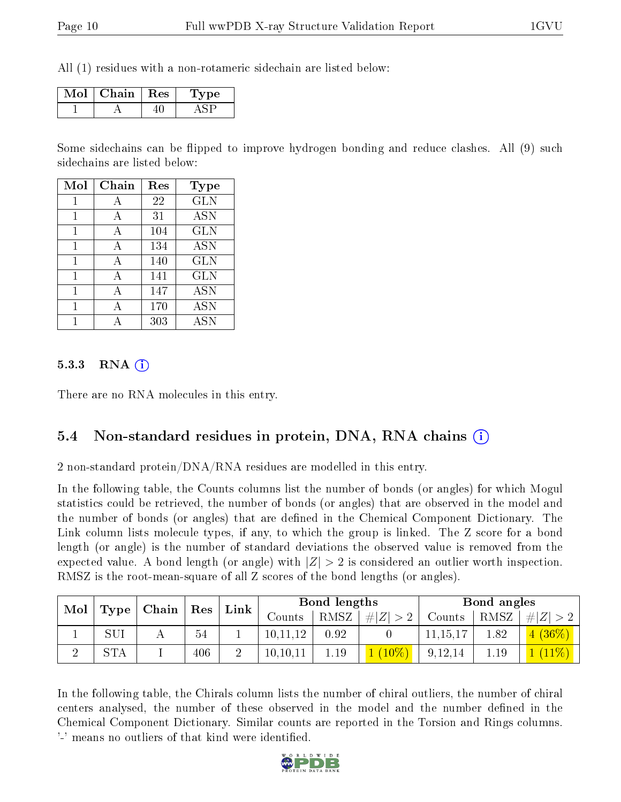All (1) residues with a non-rotameric sidechain are listed below:

| Mol | Chain   Res | рe<br>$\perp$ y |
|-----|-------------|-----------------|
|     |             |                 |

Some sidechains can be flipped to improve hydrogen bonding and reduce clashes. All (9) such sidechains are listed below:

| Mol | Chain | Res | Type       |
|-----|-------|-----|------------|
| 1   | А     | 22  | <b>GLN</b> |
| 1   | А     | 31  | <b>ASN</b> |
| 1   | А     | 104 | <b>GLN</b> |
| 1   | А     | 134 | <b>ASN</b> |
| 1   | A     | 140 | <b>GLN</b> |
| 1   | А     | 141 | <b>GLN</b> |
| 1   | А     | 147 | <b>ASN</b> |
| 1   | А     | 170 | <b>ASN</b> |
|     |       | 303 | <b>ASN</b> |

#### $5.3.3$  RNA  $(i)$

There are no RNA molecules in this entry.

#### 5.4 Non-standard residues in protein, DNA, RNA chains (i)

2 non-standard protein/DNA/RNA residues are modelled in this entry.

In the following table, the Counts columns list the number of bonds (or angles) for which Mogul statistics could be retrieved, the number of bonds (or angles) that are observed in the model and the number of bonds (or angles) that are dened in the Chemical Component Dictionary. The Link column lists molecule types, if any, to which the group is linked. The Z score for a bond length (or angle) is the number of standard deviations the observed value is removed from the expected value. A bond length (or angle) with  $|Z| > 2$  is considered an outlier worth inspection. RMSZ is the root-mean-square of all Z scores of the bond lengths (or angles).

| Mol | $\mid$ Chain $\mid$ Res $\mid$ |  | Link |  | Bond lengths |      |             | Bond angles |      |          |
|-----|--------------------------------|--|------|--|--------------|------|-------------|-------------|------|----------|
|     | Type                           |  |      |  | Counts       | RMSZ | $\# Z  > 2$ | Counts      | RMSZ | H Z      |
|     | SUI                            |  | 54   |  | 10,11,12     | 0.92 |             | 11,15,17    | 1.82 | $(36\%)$ |
|     | STA                            |  | 406  |  | 10,10,11     | 1.19 | $(10\%)$    | 9,12,14     | 1.19 |          |

In the following table, the Chirals column lists the number of chiral outliers, the number of chiral centers analysed, the number of these observed in the model and the number defined in the Chemical Component Dictionary. Similar counts are reported in the Torsion and Rings columns. '-' means no outliers of that kind were identified.

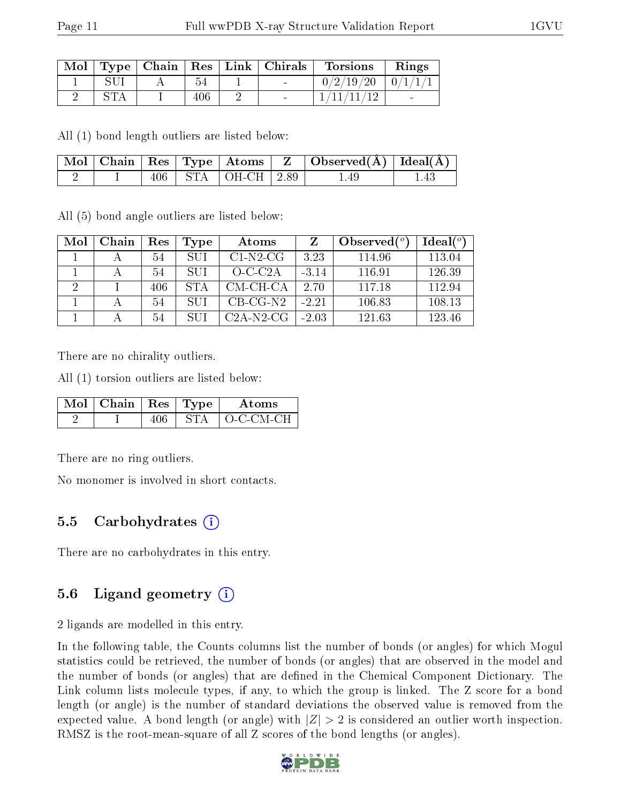| Mol |  |     | $\top$ Type   Chain   Res   Link   Chirals | <b>Torsions</b>         | Rings           |
|-----|--|-----|--------------------------------------------|-------------------------|-----------------|
|     |  |     |                                            | $0/2/19/20$   $0/1/1/1$ |                 |
|     |  | 406 |                                            | 1/11/11/12              | $\qquad \qquad$ |

All (1) bond length outliers are listed below:

|  |  |                            | $\vert$ Mol $\vert$ Chain $\vert$ Res $\vert$ Type $\vert$ Atoms $\vert$ Z $\vert$ Observed(A) $\vert$ Ideal(A) |  |
|--|--|----------------------------|-----------------------------------------------------------------------------------------------------------------|--|
|  |  | $406$   STA   OH-CH   2.89 | 1.49                                                                                                            |  |

All (5) bond angle outliers are listed below:

| Mol | Chain | Res | Type       | Atoms              |         | Observed $(°)$ | Ideal $(°)$ |
|-----|-------|-----|------------|--------------------|---------|----------------|-------------|
|     |       | 54  | SUI        | $C1-N2-CG$         | 3.23    | 114.96         | 113.04      |
|     |       | 54  | SUI        | $O-C-C2A$          | $-3.14$ | 116.91         | 126.39      |
|     |       | 406 | <b>STA</b> | CM-CH-CA           | 2.70    | 117.18         | 112.94      |
|     |       | 54  | SUI        | $CB-CG-N2$         | $-2.21$ | 106.83         | 108.13      |
|     |       | 54  | SUI        | $C2A-N2\text{ }CG$ | $-2.03$ | 121.63         | 123.46      |

There are no chirality outliers.

All (1) torsion outliers are listed below:

| $\overline{\text{Mol}}$   Chain   Res   Type |  | Atoms          |
|----------------------------------------------|--|----------------|
|                                              |  | ` ()-C-CM-CH - |

There are no ring outliers.

No monomer is involved in short contacts.

## 5.5 Carbohydrates  $(i)$

There are no carbohydrates in this entry.

## 5.6 Ligand geometry  $(i)$

2 ligands are modelled in this entry.

In the following table, the Counts columns list the number of bonds (or angles) for which Mogul statistics could be retrieved, the number of bonds (or angles) that are observed in the model and the number of bonds (or angles) that are defined in the Chemical Component Dictionary. The Link column lists molecule types, if any, to which the group is linked. The Z score for a bond length (or angle) is the number of standard deviations the observed value is removed from the expected value. A bond length (or angle) with  $|Z| > 2$  is considered an outlier worth inspection. RMSZ is the root-mean-square of all Z scores of the bond lengths (or angles).

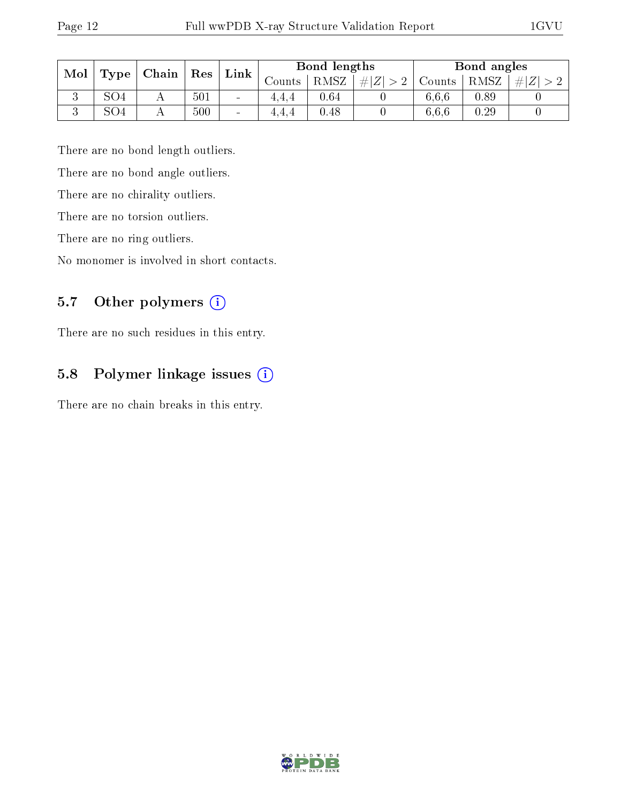| Mol |     | $\mid$ Type $\mid$ Chain $\mid$ Res |     | $Link \mid$ | Bond lengths |      |         | Bond angles |      |     |
|-----|-----|-------------------------------------|-----|-------------|--------------|------|---------|-------------|------|-----|
|     |     |                                     |     |             | Counts -     | RMSZ | $\# Z $ | Counts      | RMSZ | # Z |
| IJ  | SO4 |                                     | 501 | $\sim$      |              | 0.64 |         | 6.6.6       | 0.89 |     |
|     | SO4 |                                     | 500 | $\sim$      |              | 0.48 |         | 6.6.6       | 0.29 |     |

There are no bond length outliers.

There are no bond angle outliers.

There are no chirality outliers.

There are no torsion outliers.

There are no ring outliers.

No monomer is involved in short contacts.

## 5.7 [O](https://www.wwpdb.org/validation/2017/XrayValidationReportHelp#nonstandard_residues_and_ligands)ther polymers (i)

There are no such residues in this entry.

## 5.8 Polymer linkage issues (i)

There are no chain breaks in this entry.